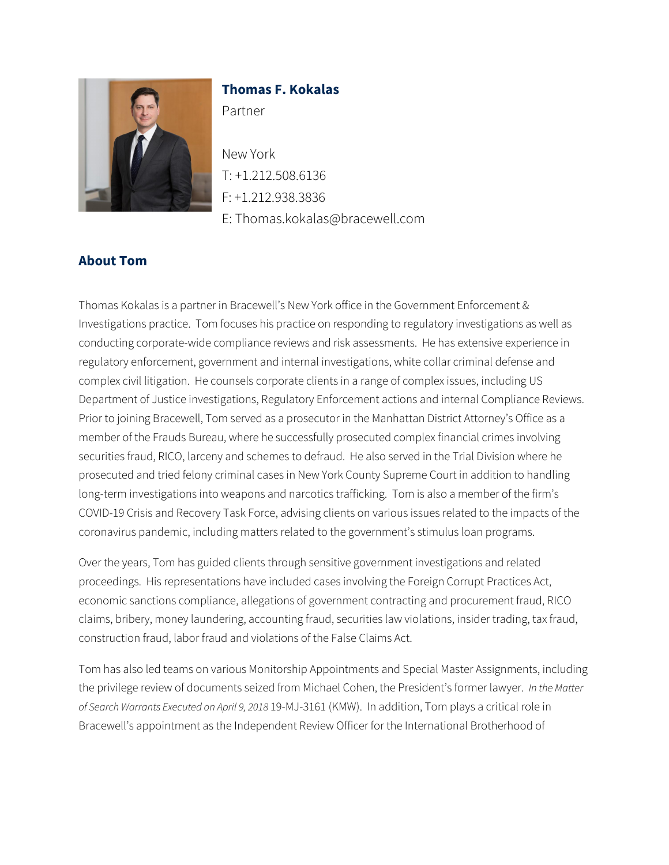

# **Thomas F. Kokalas**

Partner

New York T: +1.212.508.6136 F: +1.212.938.3836 E: Thomas.kokalas@bracewell.com

# **About Tom**

Thomas Kokalas is a partner in Bracewell's New York office in the Government Enforcement & Investigations practice. Tom focuses his practice on responding to regulatory investigations as well as conducting corporate-wide compliance reviews and risk assessments. He has extensive experience in regulatory enforcement, government and internal investigations, white collar criminal defense and complex civil litigation. He counsels corporate clients in a range of complex issues, including US Department of Justice investigations, Regulatory Enforcement actions and internal Compliance Reviews. Prior to joining Bracewell, Tom served as a prosecutor in the Manhattan District Attorney's Office as a member of the Frauds Bureau, where he successfully prosecuted complex financial crimes involving securities fraud, RICO, larceny and schemes to defraud. He also served in the Trial Division where he prosecuted and tried felony criminal cases in New York County Supreme Court in addition to handling long-term investigations into weapons and narcotics trafficking. Tom is also a member of the firm's COVID-19 Crisis and Recovery Task Force, advising clients on various issues related to the impacts of the coronavirus pandemic, including matters related to the government's stimulus loan programs.

Over the years, Tom has guided clients through sensitive government investigations and related proceedings. His representations have included cases involving the Foreign Corrupt Practices Act, economic sanctions compliance, allegations of government contracting and procurement fraud, RICO claims, bribery, money laundering, accounting fraud, securities law violations, insider trading, tax fraud, construction fraud, labor fraud and violations of the False Claims Act.

Tom has also led teams on various Monitorship Appointments and Special Master Assignments, including the privilege review of documents seized from Michael Cohen, the President's former lawyer. *In the Matter of Search Warrants Executed on April 9, 2018* 19-MJ-3161 (KMW). In addition, Tom plays a critical role in Bracewell's appointment as the Independent Review Officer for the International Brotherhood of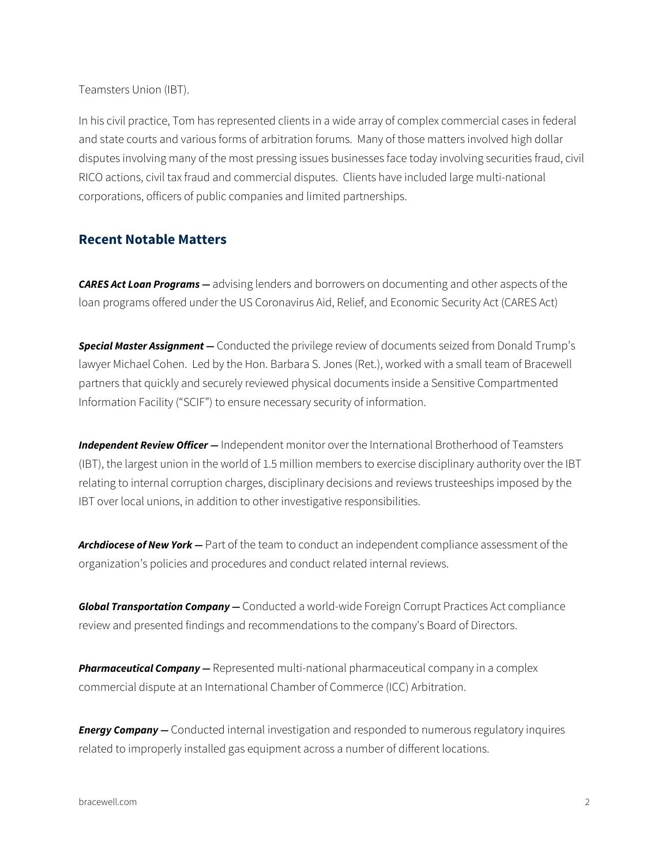Teamsters Union (IBT).

In his civil practice, Tom has represented clients in a wide array of complex commercial cases in federal and state courts and various forms of arbitration forums. Many of those matters involved high dollar disputes involving many of the most pressing issues businesses face today involving securities fraud, civil RICO actions, civil tax fraud and commercial disputes. Clients have included large multi-national corporations, officers of public companies and limited partnerships.

#### **Recent Notable Matters**

*CARES Act Loan Programs —* advising lenders and borrowers on documenting and other aspects of the loan programs offered under the US Coronavirus Aid, Relief, and Economic Security Act (CARES Act)

*Special Master Assignment —* Conducted the privilege review of documents seized from Donald Trump's lawyer Michael Cohen. Led by the Hon. Barbara S. Jones (Ret.), worked with a small team of Bracewell partners that quickly and securely reviewed physical documents inside a Sensitive Compartmented Information Facility ("SCIF") to ensure necessary security of information.

*Independent Review Officer —* Independent monitor over the International Brotherhood of Teamsters (IBT), the largest union in the world of 1.5 million members to exercise disciplinary authority over the IBT relating to internal corruption charges, disciplinary decisions and reviews trusteeships imposed by the IBT over local unions, in addition to other investigative responsibilities.

*Archdiocese of New York —* Part of the team to conduct an independent compliance assessment of the organization's policies and procedures and conduct related internal reviews.

*Global Transportation Company —* Conducted a world-wide Foreign Corrupt Practices Act compliance review and presented findings and recommendations to the company's Board of Directors.

*Pharmaceutical Company —* Represented multi-national pharmaceutical company in a complex commercial dispute at an International Chamber of Commerce (ICC) Arbitration.

*Energy Company —* Conducted internal investigation and responded to numerous regulatory inquires related to improperly installed gas equipment across a number of different locations.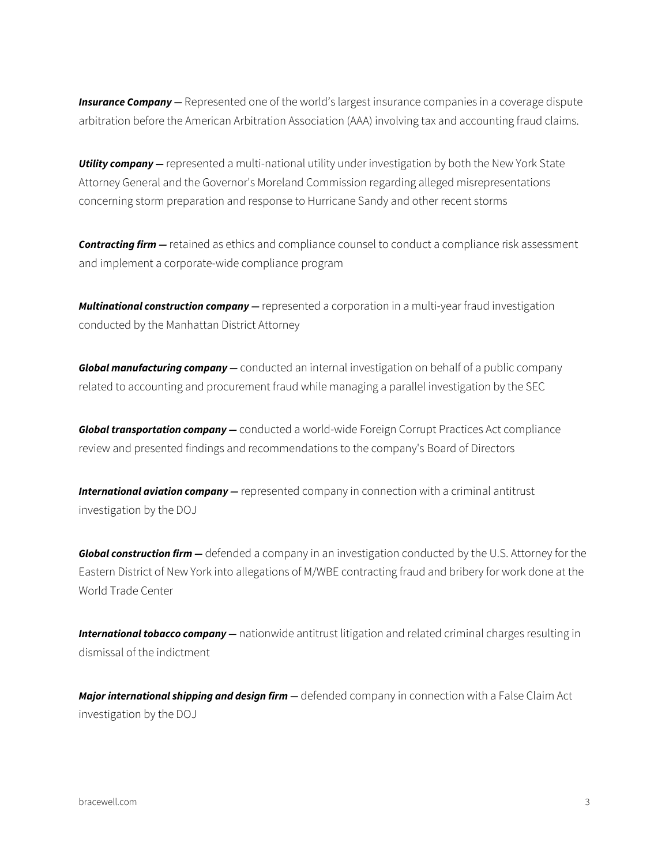**Insurance Company** – Represented one of the world's largest insurance companies in a coverage dispute arbitration before the American Arbitration Association (AAA) involving tax and accounting fraud claims.

**Utility company —** represented a multi-national utility under investigation by both the New York State Attorney General and the Governor's Moreland Commission regarding alleged misrepresentations concerning storm preparation and response to Hurricane Sandy and other recent storms

*Contracting firm —* retained as ethics and compliance counsel to conduct a compliance risk assessment and implement a corporate-wide compliance program

*Multinational construction company —* represented a corporation in a multi-year fraud investigation conducted by the Manhattan District Attorney

*Global manufacturing company —* conducted an internal investigation on behalf of a public company related to accounting and procurement fraud while managing a parallel investigation by the SEC

*Global transportation company —* conducted a world-wide Foreign Corrupt Practices Act compliance review and presented findings and recommendations to the company's Board of Directors

*International aviation company —* represented company in connection with a criminal antitrust investigation by the DOJ

*Global construction firm —* defended a company in an investigation conducted by the U.S. Attorney for the Eastern District of New York into allegations of M/WBE contracting fraud and bribery for work done at the World Trade Center

*International tobacco company —* nationwide antitrust litigation and related criminal charges resulting in dismissal of the indictment

*Major international shipping and design firm —* defended company in connection with a False Claim Act investigation by the DOJ